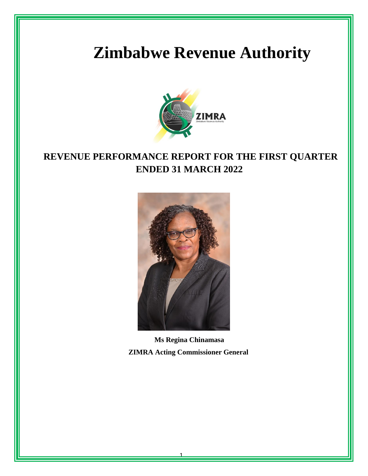# **Zimbabwe Revenue Authority**



# **REVENUE PERFORMANCE REPORT FOR THE FIRST QUARTER ENDED 31 MARCH 2022**



**Ms Regina Chinamasa ZIMRA Acting Commissioner General**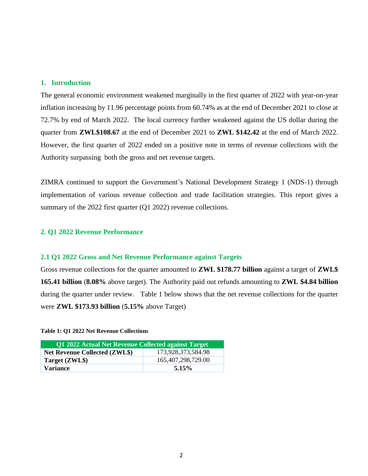# **1. Introduction**

The general economic environment weakened marginally in the first quarter of 2022 with year-on-year inflation increasing by 11.96 percentage points from 60.74% as at the end of December 2021 to close at 72.7% by end of March 2022. The local currency further weakened against the US dollar during the quarter from **ZWL\$108.67** at the end of December 2021 to **ZWL \$142.42** at the end of March 2022. However, the first quarter of 2022 ended on a positive note in terms of revenue collections with the Authority surpassing both the gross and net revenue targets.

ZIMRA continued to support the Government's National Development Strategy 1 (NDS-1) through implementation of various revenue collection and trade facilitation strategies. This report gives a summary of the 2022 first quarter (Q1 2022) revenue collections.

### **2. Q1 2022 Revenue Performance**

#### **2.1 Q1 2022 Gross and Net Revenue Performance against Targets**

Gross revenue collections for the quarter amounted to **ZWL \$178.77 billion** against a target of **ZWL\$ 165.41 billion** (**8.08%** above target). The Authority paid out refunds amounting to **ZWL \$4.84 billion** during the quarter under review. Table 1 below shows that the net revenue collections for the quarter were **ZWL \$173.93 billion** (**5.15%** above Target)

#### **Table 1: Q1 2022 Net Revenue Collections**

| Q1 2022 Actual Net Revenue Collected against Target |                       |  |  |  |  |
|-----------------------------------------------------|-----------------------|--|--|--|--|
| <b>Net Revenue Collected (ZWL\$)</b>                | 173,928,373,584.98    |  |  |  |  |
| Target (ZWL\$)                                      | 165, 407, 298, 729.00 |  |  |  |  |
| <b>Variance</b>                                     | 5.15%                 |  |  |  |  |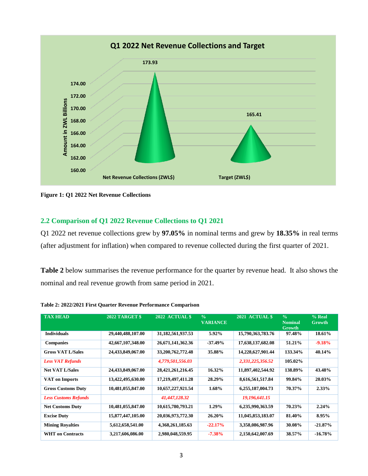

**Figure 1: Q1 2022 Net Revenue Collections**

# **2.2 Comparison of Q1 2022 Revenue Collections to Q1 2021**

Q1 2022 net revenue collections grew by **97.05%** in nominal terms and grew by **18.35%** in real terms (after adjustment for inflation) when compared to revenue collected during the first quarter of 2021.

**Table 2** below summarises the revenue performance for the quarter by revenue head. It also shows the nominal and real revenue growth from same period in 2021.

| <b>TAX HEAD</b>             | <b>2022 TARGET \$</b> | 2022 ACTUAL \$        | $\frac{0}{0}$<br><b>VARIANCE</b> | 2021 ACTUAL \$    | $\frac{0}{0}$<br><b>Nominal</b><br>Growth | % Real<br>Growth |
|-----------------------------|-----------------------|-----------------------|----------------------------------|-------------------|-------------------------------------------|------------------|
| <b>Individuals</b>          | 29,440,488,107.00     | 31,182,561,937.53     | 5.92%                            | 15,790,363,783.76 | 97.48%                                    | 18.61%           |
| <b>Companies</b>            | 42,667,107,348.00     | 26, 671, 141, 362. 36 | $-37.49\%$                       | 17,638,137,682.08 | 51.21%                                    | $-9.18%$         |
| <b>Gross VAT L/Sales</b>    | 24,433,849,067.00     | 33,200,762,772.48     | 35.88%                           | 14,228,627,901.44 | 133.34%                                   | 40.14%           |
| <b>Less VAT Refunds</b>     |                       | 4,779,501,556.03      |                                  | 2,331,225,356.52  | 105.02%                                   |                  |
| <b>Net VAT L/Sales</b>      | 24,433,849,067.00     | 28, 421, 261, 216. 45 | 16.32%                           | 11,897,402,544.92 | 138.89%                                   | 43.48%           |
| <b>VAT</b> on Imports       | 13,422,495,630.00     | 17,219,497,411.28     | 28.29%                           | 8,616,561,517.84  | 99.84%                                    | 20.03%           |
| <b>Gross Customs Duty</b>   | 10,481,055,847.00     | 10,657,227,921.54     | $1.68\%$                         | 6,255,187,004.73  | 70.37%                                    | $2.33\%$         |
| <b>Less Customs Refunds</b> |                       | 41,447,128.32         |                                  | 19,196,641.15     |                                           |                  |
| <b>Net Customs Duty</b>     | 10,481,055,847.00     | 10,615,780,793.21     | $1.29\%$                         | 6,235,990,363.59  | 70.23%                                    | 2.24%            |
| <b>Excise Duty</b>          | 15,877,447,105.00     | 20,036,973,772.30     | 26.20%                           | 11,045,853,183.07 | 81.40%                                    | 8.95%            |
| <b>Mining Royalties</b>     | 5,612,658,541.00      | 4,368,261,185.63      | $-22.17\%$                       | 3,358,086,987.96  | 30.08%                                    | $-21.87\%$       |
| <b>WHT</b> on Contracts     | 3,217,606,086.00      | 2,980,048,559.95      | $-7.38%$                         | 2,150,642,007.69  | 38.57%                                    | $-16.78\%$       |

**Table 2: 2022/2021 First Quarter Revenue Performance Comparison**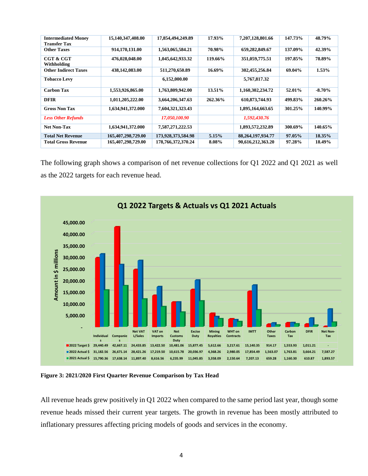| <b>Intermediated Money</b>  | 15,140,347,408.00  | 17,854,494,249.89  | 17.93%  | 7,207,128,801.66      | 147.73% | 48.79%    |
|-----------------------------|--------------------|--------------------|---------|-----------------------|---------|-----------|
| <b>Transfer Tax</b>         |                    |                    |         |                       |         |           |
| <b>Other Taxes</b>          | 914,170,131.00     | 1,563,065,584.21   | 70.98%  | 659,282,849.67        | 137.09% | 42.39%    |
| <b>CGT &amp; CGT</b>        | 476,028,048.00     | 1,045,642,933.32   | 119.66% | 351,059,775.51        | 197.85% | 78.89%    |
| Withholding                 |                    |                    |         |                       |         |           |
| <b>Other Indirect Taxes</b> | 438,142,083.00     | 511,270,650.89     | 16.69%  | 302,455,256.84        | 69.04%  | $1.53\%$  |
| <b>Tobacco Levy</b>         |                    | 6,152,000.00       |         | 5,767,817.32          |         |           |
| <b>Carbon Tax</b>           | 1,553,926,865.00   | 1,763,809,942.00   | 13.51%  | 1,160,302,234.72      | 52.01%  | $-8.70\%$ |
| <b>DFIR</b>                 | 1,011,205,222.00   | 3,664,206,347.63   | 262.36% | 610,873,744.93        | 499.83% | 260.26%   |
| <b>Gross Non Tax</b>        | 1,634,941,372.000  | 7,604,321,323.43   |         | 1,895,164,663.65      | 301.25% | 140.99%   |
| <b>Less Other Refunds</b>   |                    | 17,050,100.90      |         | 1,592,430.76          |         |           |
| <b>Net Non-Tax</b>          | 1,634,941,372.000  | 7,587,271,222.53   |         | 1,893,572,232.89      | 300.69% | 140.65%   |
| <b>Total Net Revenue</b>    | 165,407,298,729.00 | 173,928,373,584.98 | 5.15%   | 88, 264, 197, 934, 77 | 97.05%  | 18.35%    |
| <b>Total Gross Revenue</b>  | 165,407,298,729.00 | 178,766,372,370.24 | 8.08%   | 90,616,212,363.20     | 97.28%  | 18.49%    |

The following graph shows a comparison of net revenue collections for Q1 2022 and Q1 2021 as well as the 2022 targets for each revenue head.



**Figure 3: 2021/2020 First Quarter Revenue Comparison by Tax Head**

All revenue heads grew positively in Q1 2022 when compared to the same period last year, though some revenue heads missed their current year targets. The growth in revenue has been mostly attributed to inflationary pressures affecting pricing models of goods and services in the economy.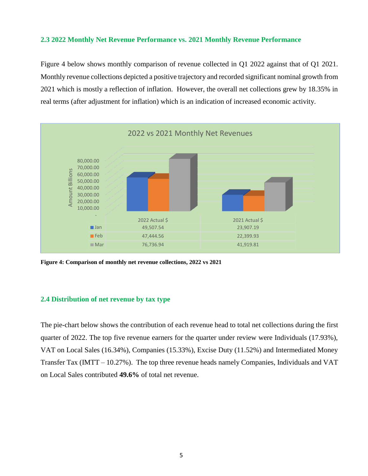# **2.3 2022 Monthly Net Revenue Performance vs. 2021 Monthly Revenue Performance**

Figure 4 below shows monthly comparison of revenue collected in Q1 2022 against that of Q1 2021. Monthly revenue collections depicted a positive trajectory and recorded significant nominal growth from 2021 which is mostly a reflection of inflation. However, the overall net collections grew by 18.35% in real terms (after adjustment for inflation) which is an indication of increased economic activity.



**Figure 4: Comparison of monthly net revenue collections, 2022 vs 2021**

# **2.4 Distribution of net revenue by tax type**

The pie-chart below shows the contribution of each revenue head to total net collections during the first quarter of 2022. The top five revenue earners for the quarter under review were Individuals (17.93%), VAT on Local Sales (16.34%), Companies (15.33%), Excise Duty (11.52%) and Intermediated Money Transfer Tax (IMTT – 10.27%). The top three revenue heads namely Companies, Individuals and VAT on Local Sales contributed **49.6%** of total net revenue.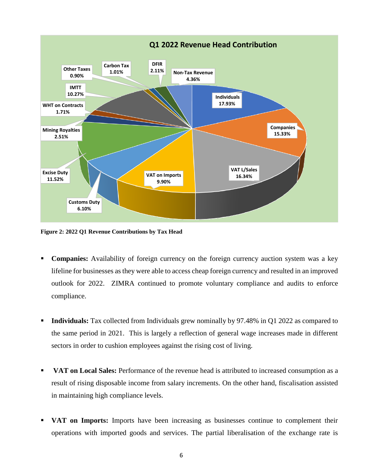

**Figure 2: 2022 Q1 Revenue Contributions by Tax Head**

- **Companies:** Availability of foreign currency on the foreign currency auction system was a key lifeline for businesses as they were able to access cheap foreign currency and resulted in an improved outlook for 2022. ZIMRA continued to promote voluntary compliance and audits to enforce compliance.
- **Individuals:** Tax collected from Individuals grew nominally by 97.48% in Q1 2022 as compared to the same period in 2021. This is largely a reflection of general wage increases made in different sectors in order to cushion employees against the rising cost of living.
- **VAT on Local Sales:** Performance of the revenue head is attributed to increased consumption as a result of rising disposable income from salary increments. On the other hand, fiscalisation assisted in maintaining high compliance levels.
- **VAT on Imports:** Imports have been increasing as businesses continue to complement their operations with imported goods and services. The partial liberalisation of the exchange rate is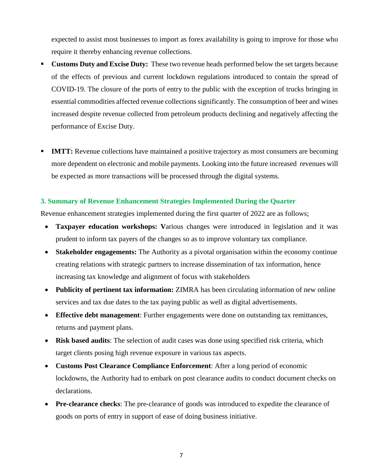expected to assist most businesses to import as forex availability is going to improve for those who require it thereby enhancing revenue collections.

- **Customs Duty and Excise Duty:** These two revenue heads performed below the set targets because of the effects of previous and current lockdown regulations introduced to contain the spread of COVID-19. The closure of the ports of entry to the public with the exception of trucks bringing in essential commodities affected revenue collections significantly. The consumption of beer and wines increased despite revenue collected from petroleum products declining and negatively affecting the performance of Excise Duty.
- **IMTT:** Revenue collections have maintained a positive trajectory as most consumers are becoming more dependent on electronic and mobile payments. Looking into the future increased revenues will be expected as more transactions will be processed through the digital systems.

# **3. Summary of Revenue Enhancement Strategies Implemented During the Quarter**

Revenue enhancement strategies implemented during the first quarter of 2022 are as follows;

- **Taxpayer education workshops: V**arious changes were introduced in legislation and it was prudent to inform tax payers of the changes so as to improve voluntary tax compliance.
- **Stakeholder engagements:** The Authority as a pivotal organisation within the economy continue creating relations with strategic partners to increase dissemination of tax information, hence increasing tax knowledge and alignment of focus with stakeholders
- Publicity of pertinent tax information: ZIMRA has been circulating information of new online services and tax due dates to the tax paying public as well as digital advertisements.
- **Effective debt management**: Further engagements were done on outstanding tax remittances, returns and payment plans.
- **Risk based audits**: The selection of audit cases was done using specified risk criteria, which target clients posing high revenue exposure in various tax aspects.
- **Customs Post Clearance Compliance Enforcement**: After a long period of economic lockdowns, the Authority had to embark on post clearance audits to conduct document checks on declarations.
- **Pre-clearance checks:** The pre-clearance of goods was introduced to expedite the clearance of goods on ports of entry in support of ease of doing business initiative.